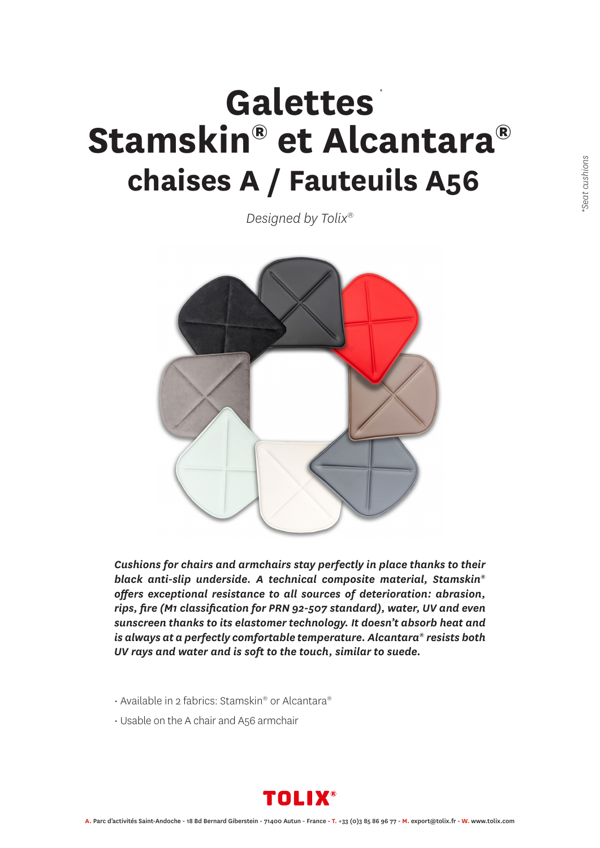## **Galettes** *\****Stamskin® et Alcantara® chaises A / Fauteuils A56**

*Designed by Tolix®*



*Cushions for chairs and armchairs stay perfectly in place thanks to their black anti-slip underside. A technical composite material, Stamskin® offers exceptional resistance to all sources of deterioration: abrasion, rips, fire (M1 classification for PRN 92-507 standard), water, UV and even sunscreen thanks to its elastomer technology. It doesn't absorb heat and is always at a perfectly comfortable temperature. Alcantara® resists both UV rays and water and is soft to the touch, similar to suede.*

• Available in 2 fabrics: Stamskin® or Alcantara®

• Usable on the A chair and A56 armchair